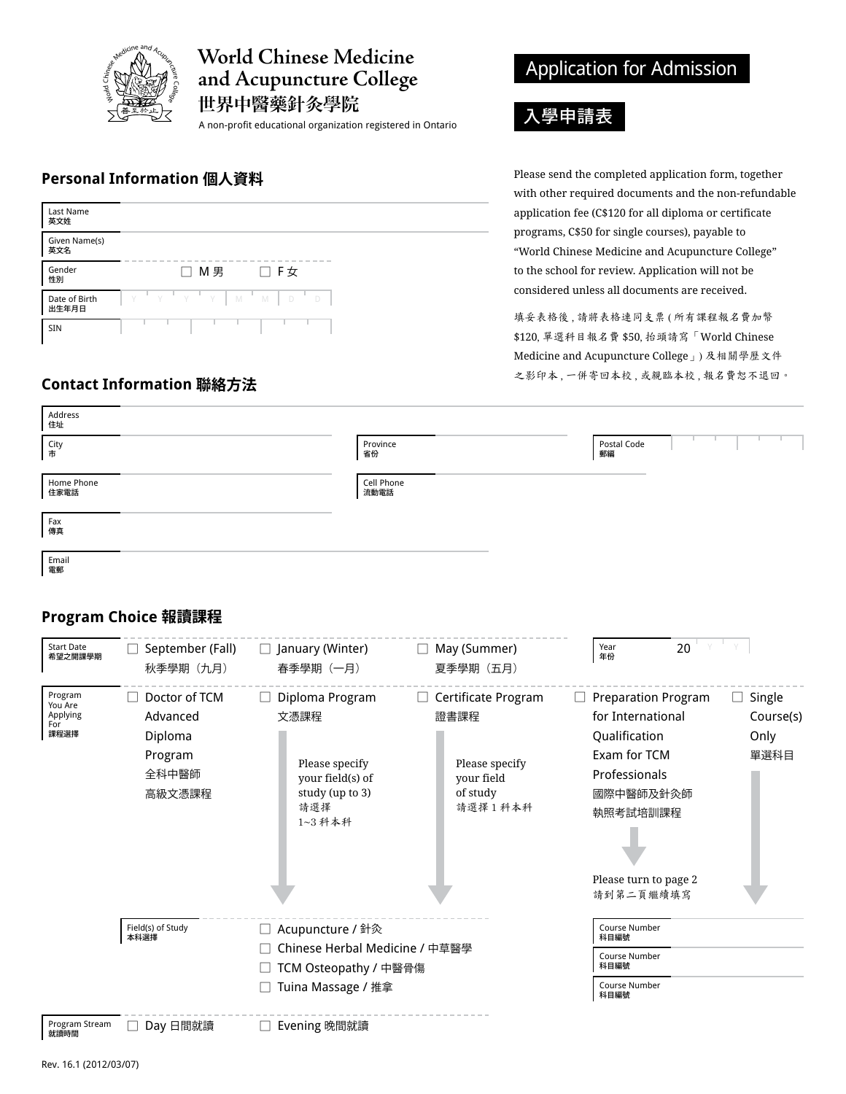

# World Chinese Medicine **and Acupuncture College**

世界中醫藥針灸學院

A non-profit educational organization registered in Ontario

#### **Personal Information 個人資料**

| Last Name<br>英文姓       |                                 |
|------------------------|---------------------------------|
| Given Name(s)<br>英文名   |                                 |
| Gender<br>性別           | □ M男<br>□ F女                    |
| Date of Birth<br>出生年月日 | y'y'y'y<br>$\mathbb N$<br>M D D |
| <b>SIN</b>             |                                 |

## **Contact Information 聯絡方法**

# Application for Admission

# 入學申請表

Please send the completed application form, together with other required documents and the non-refundable application fee (C\$120 for all diploma or certificate programs, C\$50 for single courses), payable to "World Chinese Medicine and Acupuncture College" to the school for review. Application will not be considered unless all documents are received.

填妥表格後 , 請將表格連同支票 ( 所有課程報名費加幣 \$120, 單選科目報名費 \$50, 抬頭請寫「World Chinese Medicine and Acupuncture College」) 及相關學歷文件 之影印本 , 一併寄回本校 , 或親臨本校 , 報名費恕不退回。

| Address<br>住址      |                    |                   |  |  |
|--------------------|--------------------|-------------------|--|--|
| City<br>市          | Province<br>省份     | Postal Code<br>郵編 |  |  |
| Home Phone<br>住家電話 | Cell Phone<br>流動電話 |                   |  |  |
| Fax<br>傳真          |                    |                   |  |  |
| Email<br>電郵        |                    |                   |  |  |

## **Program Choice 報讀課程**

| <b>Start Date</b><br>希望之開課學期                  | September (Fall)<br>秋季學期 (九月)                                      | $\Box$ January (Winter)<br>春季學期(一月)                                                                 | May (Summer)<br>$\Box$<br>夏季學期 (五月)                                                           | 20<br>Year<br>年份                                                                                                                                                 |                                            |
|-----------------------------------------------|--------------------------------------------------------------------|-----------------------------------------------------------------------------------------------------|-----------------------------------------------------------------------------------------------|------------------------------------------------------------------------------------------------------------------------------------------------------------------|--------------------------------------------|
| Program<br>You Are<br>Applying<br>For<br>課程選擇 | Doctor of TCM<br>Advanced<br>Diploma<br>Program<br>全科中醫師<br>高級文憑課程 | Diploma Program<br>文憑課程<br>Please specify<br>your field(s) of<br>study (up to 3)<br>請選擇<br>1~3 科本科  | Certificate Program<br>$\perp$<br>證書課程<br>Please specify<br>your field<br>of study<br>請選擇1科本科 | <b>Preparation Program</b><br>for International<br>Qualification<br>Exam for TCM<br>Professionals<br>國際中醫師及針灸師<br>執照考試培訓課程<br>Please turn to page 2<br>請到第二頁繼續填寫 | $\Box$ Single<br>Course(s)<br>Only<br>單選科目 |
|                                               | Field(s) of Study<br>本科選擇                                          | □ Acupuncture / 針灸<br>Chinese Herbal Medicine / 中草醫學<br>TCM Osteopathy / 中醫骨傷<br>Tuina Massage / 推拿 |                                                                                               | Course Number<br>科目編號<br>Course Number<br>科目編號<br>Course Number<br>科目編號                                                                                          |                                            |
| Program Stream<br>就讀時間                        | Day 日間就讀                                                           | Evening 晚間就讀                                                                                        |                                                                                               |                                                                                                                                                                  |                                            |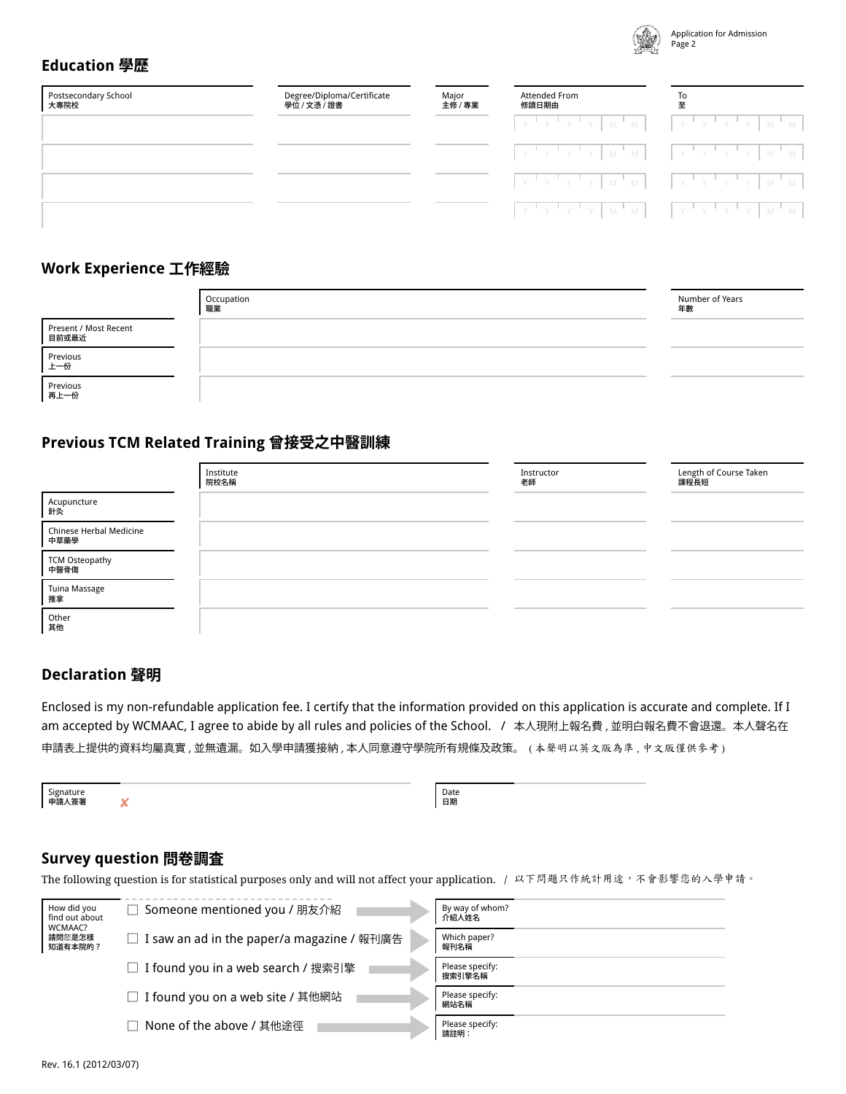

## **Education 學歷**

| Postsecondary School<br>大專院校 | Degree/Diploma/Certificate<br>學位 / 文憑 / 證書 | Major<br>主修 / 專業 | Attended From<br>修讀日期由                                                                                                                                                                                                                              | To |
|------------------------------|--------------------------------------------|------------------|-----------------------------------------------------------------------------------------------------------------------------------------------------------------------------------------------------------------------------------------------------|----|
|                              |                                            |                  | $\begin{bmatrix} \gamma^{-1} & \gamma^{-1} & \gamma^{-1} & \gamma \end{bmatrix} \begin{bmatrix} M^{-1} & M \end{bmatrix} = \begin{bmatrix} \gamma^{-1} & \gamma^{-1} & \gamma^{-1} & \gamma \end{bmatrix} \begin{bmatrix} M^{-1} & M \end{bmatrix}$ |    |
|                              |                                            |                  |                                                                                                                                                                                                                                                     |    |
|                              |                                            |                  | $\begin{bmatrix} Y & Y & Y & Y & Y \end{bmatrix} \begin{bmatrix} Y & Y & W & W \end{bmatrix} \begin{bmatrix} Y & Y & Y & Y & Y \end{bmatrix} \begin{bmatrix} Y & Y & W & W \end{bmatrix}$                                                           |    |
|                              |                                            |                  | $\begin{bmatrix} Y & Y & Y & Y & Y \end{bmatrix}$ $M^T M$ $\begin{bmatrix} Y & Y & Y & Y & Y \end{bmatrix}$ $N^T N$                                                                                                                                 |    |

#### **Work Experience 工作經驗**

|                                | Occupation<br>職業 | Number of Years<br>年數 |
|--------------------------------|------------------|-----------------------|
| Present / Most Recent<br>目前或最近 |                  |                       |
| Previous<br>上一份                |                  |                       |
| Previous<br>再上一份               |                  |                       |

#### **Previous TCM Related Training 曾接受之中醫訓練**

|                                 | Institute<br>院校名稱 | Instructor<br>老師 | Length of Course Taken<br>課程長短 |
|---------------------------------|-------------------|------------------|--------------------------------|
| Acupuncture<br>針灸               |                   |                  |                                |
| Chinese Herbal Medicine<br>中草藥學 |                   |                  |                                |
| TCM Osteopathy<br>中醫骨傷          |                   |                  |                                |
| Tuina Massage<br>推拿             |                   |                  |                                |
| Other<br>其他                     |                   |                  |                                |

#### **Declaration 聲明**

Enclosed is my non-refundable application fee. I certify that the information provided on this application is accurate and complete. If I am accepted by WCMAAC, I agree to abide by all rules and policies of the School. / 本人現附上報名費 , 並明白報名費不會退還。本人聲名在 申請表上提供的資料均屬真實 , 並無遺漏。如入學申請獲接納 , 本人同意遵守學院所有規條及政策。 ( 本聲明以英文版為準 , 中文版僅供參考 )

Signature 申請人簽署

Date 日期

#### **Survey question 問卷調査**

✘

The following question is for statistical purposes only and will not affect your application. / 以下問題只作統計用途,不會影響您的入學申請。

| How did you<br>find out about | □ Someone mentioned you / 朋友介紹               | By way of whom?<br>介紹人姓名  |
|-------------------------------|----------------------------------------------|---------------------------|
| WCMAAC?<br>請問您是怎樣<br>知道有本院的?  | □ I saw an ad in the paper/a magazine / 報刊廣告 | Which paper?<br>報刊名稱      |
|                               | □ I found you in a web search / 搜索引擎         | Please specify:<br>搜索引擎名稱 |
|                               | □ I found you on a web site / 其他網站           | Please specify:<br>網站名稱   |
|                               | None of the above / 其他途徑                     | Please specify:<br>請註明:   |